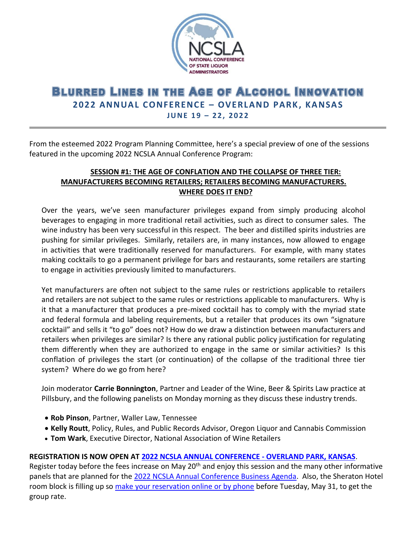

## **BLURRED LINES IN THE AGE OF ALCOHOL INNOVATION 2022 ANNUAL CONFERENCE – OVERLAND PARK, KANSAS J U N E 1 9 – 22 , 2 0 2 2**

From the esteemed 2022 Program Planning Committee, here's a special preview of one of the sessions featured in the upcoming 2022 NCSLA Annual Conference Program:

## **SESSION #1: THE AGE OF CONFLATION AND THE COLLAPSE OF THREE TIER: MANUFACTURERS BECOMING RETAILERS; RETAILERS BECOMING MANUFACTURERS. WHERE DOES IT END?**

Over the years, we've seen manufacturer privileges expand from simply producing alcohol beverages to engaging in more traditional retail activities, such as direct to consumer sales. The wine industry has been very successful in this respect. The beer and distilled spirits industries are pushing for similar privileges. Similarly, retailers are, in many instances, now allowed to engage in activities that were traditionally reserved for manufacturers. For example, with many states making cocktails to go a permanent privilege for bars and restaurants, some retailers are starting to engage in activities previously limited to manufacturers.

Yet manufacturers are often not subject to the same rules or restrictions applicable to retailers and retailers are not subject to the same rules or restrictions applicable to manufacturers. Why is it that a manufacturer that produces a pre-mixed cocktail has to comply with the myriad state and federal formula and labeling requirements, but a retailer that produces its own "signature cocktail" and sells it "to go" does not? How do we draw a distinction between manufacturers and retailers when privileges are similar? Is there any rational public policy justification for regulating them differently when they are authorized to engage in the same or similar activities? Is this conflation of privileges the start (or continuation) of the collapse of the traditional three tier system? Where do we go from here?

Join moderator **Carrie Bonnington**, Partner and Leader of the Wine, Beer & Spirits Law practice at Pillsbury, and the following panelists on Monday morning as they discuss these industry trends.

- **Rob Pinson**, Partner, Waller Law, Tennessee
- **Kelly Routt**, Policy, Rules, and Public Records Advisor, Oregon Liquor and Cannabis Commission
- **Tom Wark**, Executive Director, National Association of Wine Retailers

## **REGISTRATION IS NOW OPEN AT [2022 NCSLA ANNUAL CONFERENCE -](https://www.ncsla.org/Annual-Conference-2022.html) OVERLAND PARK, KANSAS**.

Register today before the fees increase on May 20<sup>th</sup> and enjoy this session and the many other informative panels that are planned for the [2022 NCSLA Annual Conference Business Agenda.](https://www.ncsla.org/pdf/2022_Annual_Conf-BUSINESS_Agenda_WEB.pdf) Also, the Sheraton Hotel room block is filling up so [make your reservation online or by phone](https://www.ncsla.org/Annual-Conference-2022.html) before Tuesday, May 31, to get the group rate.